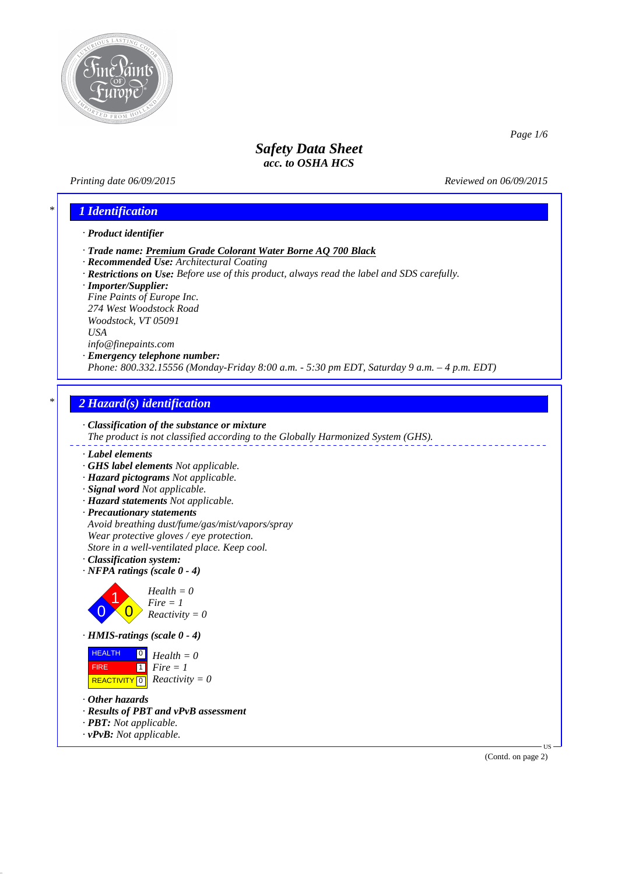

*Printing date 06/09/2015 Reviewed on 06/09/2015*

*Page 1/6*

### *\* 1 Identification*

#### *· Product identifier*

- *· Trade name: Premium Grade Colorant Water Borne AQ 700 Black*
- *· Recommended Use: Architectural Coating*
- *· Restrictions on Use: Before use of this product, always read the label and SDS carefully.*
- *· Importer/Supplier:*

*Fine Paints of Europe Inc. 274 West Woodstock Road Woodstock, VT 05091 USA info@finepaints.com*

### *· Emergency telephone number:*

*Phone: 800.332.15556 (Monday-Friday 8:00 a.m. - 5:30 pm EDT, Saturday 9 a.m. – 4 p.m. EDT)*

### *\* 2 Hazard(s) identification*



*The product is not classified according to the Globally Harmonized System (GHS).*

### *· Label elements*

- *· GHS label elements Not applicable.*
- *· Hazard pictograms Not applicable.*
- *· Signal word Not applicable.*
- *· Hazard statements Not applicable.*
- *· Precautionary statements Avoid breathing dust/fume/gas/mist/vapors/spray Wear protective gloves / eye protection. Store in a well-ventilated place. Keep cool.*
- *· Classification system:*
- *· NFPA ratings (scale 0 4)*



*· HMIS-ratings (scale 0 - 4)*

| <b>HEALTH</b> | $\begin{bmatrix} 0 \\ H \end{bmatrix}$ Health = 0 |
|---------------|---------------------------------------------------|
| <b>FIRE</b>   | $1 \mid$ Fire $= 1$                               |
|               | REACTIVITY 0 $Reactivity = 0$                     |

- *· Other hazards*
- *· Results of PBT and vPvB assessment*
- *· PBT: Not applicable.*
- *· vPvB: Not applicable.*

(Contd. on page 2)

US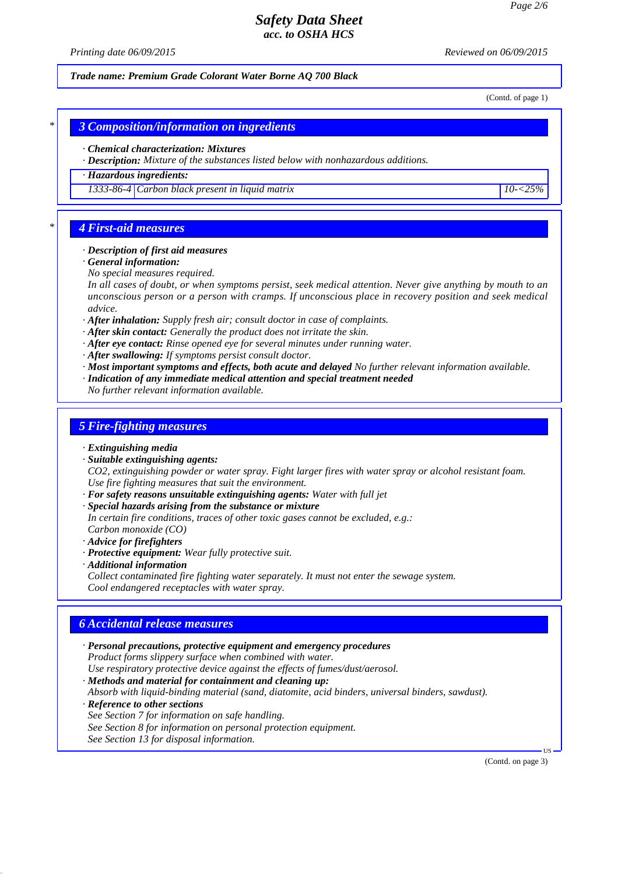*Printing date 06/09/2015 Reviewed on 06/09/2015*

*Trade name: Premium Grade Colorant Water Borne AQ 700 Black*

(Contd. of page 1)

*\* 3 Composition/information on ingredients*

*· Chemical characterization: Mixtures*

*· Description: Mixture of the substances listed below with nonhazardous additions.*

*· Hazardous ingredients:*

*1333-86-4 Carbon black present in liquid matrix 10-<25%*

### *\* 4 First-aid measures*

#### *· Description of first aid measures*

- *· General information:*
- *No special measures required.*

*In all cases of doubt, or when symptoms persist, seek medical attention. Never give anything by mouth to an unconscious person or a person with cramps. If unconscious place in recovery position and seek medical advice.*

- *· After inhalation: Supply fresh air; consult doctor in case of complaints.*
- *· After skin contact: Generally the product does not irritate the skin.*
- *· After eye contact: Rinse opened eye for several minutes under running water.*
- *· After swallowing: If symptoms persist consult doctor.*
- *· Most important symptoms and effects, both acute and delayed No further relevant information available.*
- *· Indication of any immediate medical attention and special treatment needed No further relevant information available.*

### *5 Fire-fighting measures*

- *· Extinguishing media*
- *· Suitable extinguishing agents:*

*CO2, extinguishing powder or water spray. Fight larger fires with water spray or alcohol resistant foam. Use fire fighting measures that suit the environment.*

- *· For safety reasons unsuitable extinguishing agents: Water with full jet*
- *· Special hazards arising from the substance or mixture*
- *In certain fire conditions, traces of other toxic gases cannot be excluded, e.g.: Carbon monoxide (CO)*
- *· Advice for firefighters*
- *· Protective equipment: Wear fully protective suit.*
- *· Additional information*

*Collect contaminated fire fighting water separately. It must not enter the sewage system. Cool endangered receptacles with water spray.*

### *6 Accidental release measures*

*· Personal precautions, protective equipment and emergency procedures Product forms slippery surface when combined with water. Use respiratory protective device against the effects of fumes/dust/aerosol. · Methods and material for containment and cleaning up:*

*Absorb with liquid-binding material (sand, diatomite, acid binders, universal binders, sawdust).*

- *· Reference to other sections*
- *See Section 7 for information on safe handling.*
- *See Section 8 for information on personal protection equipment.*
- *See Section 13 for disposal information.*

(Contd. on page 3)

US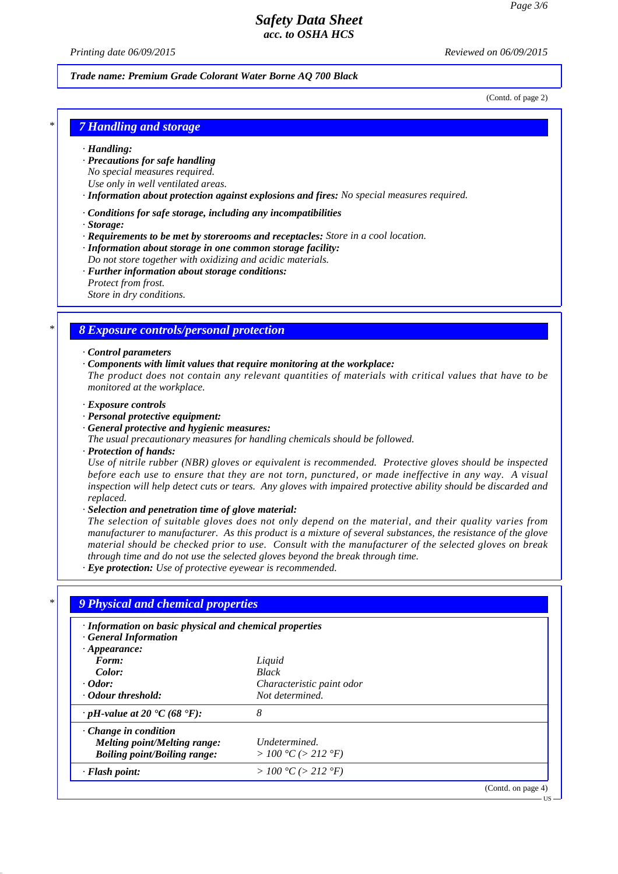*Printing date 06/09/2015 Reviewed on 06/09/2015*

#### *Trade name: Premium Grade Colorant Water Borne AQ 700 Black*

(Contd. of page 2)

### *\* 7 Handling and storage*

#### *· Handling:*

- *· Precautions for safe handling No special measures required.*
- *Use only in well ventilated areas.*

*· Information about protection against explosions and fires: No special measures required.*

*· Conditions for safe storage, including any incompatibilities*

*· Storage:*

- *· Requirements to be met by storerooms and receptacles: Store in a cool location.*
- *· Information about storage in one common storage facility:*
- *Do not store together with oxidizing and acidic materials.*
- *· Further information about storage conditions: Protect from frost. Store in dry conditions.*

# *\* 8 Exposure controls/personal protection*

#### *· Control parameters*

*· Components with limit values that require monitoring at the workplace:*

*The product does not contain any relevant quantities of materials with critical values that have to be monitored at the workplace.*

- *· Exposure controls*
- *· Personal protective equipment:*
- *· General protective and hygienic measures:*
- *The usual precautionary measures for handling chemicals should be followed.*
- *· Protection of hands:*

*Use of nitrile rubber (NBR) gloves or equivalent is recommended. Protective gloves should be inspected before each use to ensure that they are not torn, punctured, or made ineffective in any way. A visual inspection will help detect cuts or tears. Any gloves with impaired protective ability should be discarded and replaced.*

*· Selection and penetration time of glove material:*

*The selection of suitable gloves does not only depend on the material, and their quality varies from manufacturer to manufacturer. As this product is a mixture of several substances, the resistance of the glove material should be checked prior to use. Consult with the manufacturer of the selected gloves on break through time and do not use the selected gloves beyond the break through time.*

*· Eye protection: Use of protective eyewear is recommended.*

| · Information on basic physical and chemical properties<br><b>General Information</b> |                           |  |
|---------------------------------------------------------------------------------------|---------------------------|--|
| $\cdot$ Appearance:                                                                   |                           |  |
| Form:                                                                                 | Liquid                    |  |
| Color:                                                                                | <b>Black</b>              |  |
| $\cdot$ Odor:                                                                         | Characteristic paint odor |  |
| • Odour threshold:                                                                    | Not determined.           |  |
| $\cdot$ pH-value at 20 °C (68 °F):                                                    | 8                         |  |
| $\cdot$ Change in condition                                                           |                           |  |
| Melting point/Melting range:                                                          | Undetermined.             |  |
| <b>Boiling point/Boiling range:</b>                                                   | > 100 °C (> 212 °F)       |  |
| · Flash point:                                                                        | > 100 °C (> 212 °F)       |  |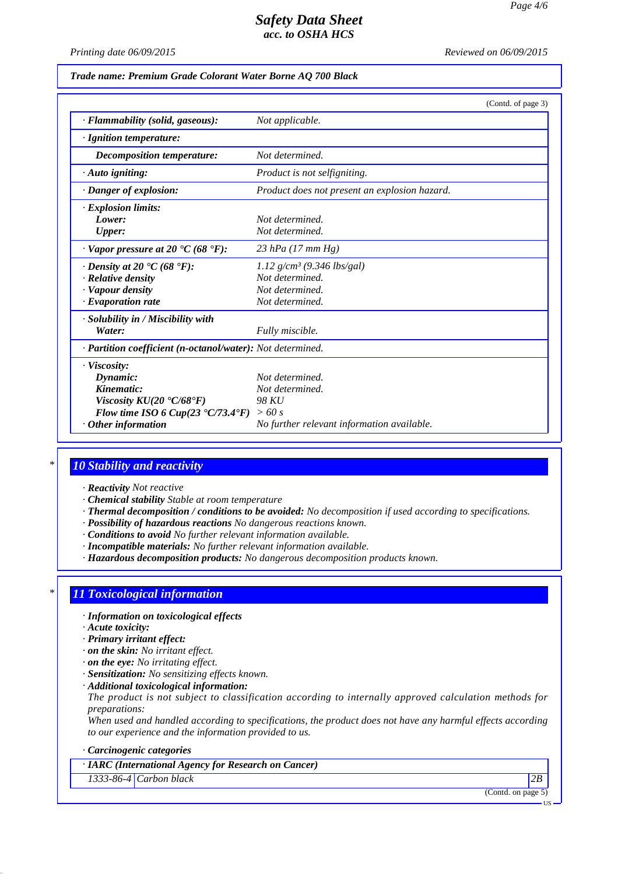*Printing date 06/09/2015 Reviewed on 06/09/2015*

*Trade name: Premium Grade Colorant Water Borne AQ 700 Black*

|                                                              | (Contd. of page 3)                            |
|--------------------------------------------------------------|-----------------------------------------------|
| · Flammability (solid, gaseous):                             | Not applicable.                               |
| · Ignition temperature:                                      |                                               |
| Decomposition temperature:                                   | Not determined.                               |
| $\cdot$ Auto igniting:                                       | Product is not selfigniting.                  |
| · Danger of explosion:                                       | Product does not present an explosion hazard. |
| $\cdot$ Explosion limits:                                    |                                               |
| Lower:                                                       | Not determined.                               |
| <b>Upper:</b>                                                | Not determined.                               |
| $\cdot$ Vapor pressure at 20 $\cdot$ C (68 $\cdot$ F):       | 23 hPa $(17 \, \text{mm Hg})$                 |
| $\cdot$ Density at 20 $\cdot$ C (68 $\cdot$ F):              | 1.12 $g/cm^3$ (9.346 lbs/gal)                 |
| · Relative density                                           | Not determined.                               |
| · Vapour density                                             | Not determined.                               |
| $\cdot$ Evaporation rate                                     | Not determined.                               |
| · Solubility in / Miscibility with                           |                                               |
| Water:                                                       | Fully miscible.                               |
| · Partition coefficient (n-octanol/water): Not determined.   |                                               |
| · Viscosity:                                                 |                                               |
| Dynamic:                                                     | Not determined.                               |
| Kinematic:                                                   | Not determined.                               |
| Viscosity $KU(20 °C/68 °F)$                                  | 98 KU                                         |
| Flow time ISO 6 Cup(23 $\textdegree$ C/73.4 $\textdegree$ F) | >60 s                                         |
| $\cdot$ Other information                                    | No further relevant information available.    |

### *\* 10 Stability and reactivity*

- *· Reactivity Not reactive*
- *· Chemical stability Stable at room temperature*
- *· Thermal decomposition / conditions to be avoided: No decomposition if used according to specifications.*
- *· Possibility of hazardous reactions No dangerous reactions known.*
- *· Conditions to avoid No further relevant information available.*
- *· Incompatible materials: No further relevant information available.*
- *· Hazardous decomposition products: No dangerous decomposition products known.*

### *\* 11 Toxicological information*

- *· Information on toxicological effects*
- *· Acute toxicity:*
- *· Primary irritant effect:*
- *· on the skin: No irritant effect.*
- *· on the eye: No irritating effect.*
- *· Sensitization: No sensitizing effects known.*
- *· Additional toxicological information:*

*The product is not subject to classification according to internally approved calculation methods for preparations:*

*When used and handled according to specifications, the product does not have any harmful effects according to our experience and the information provided to us.*

#### *· Carcinogenic categories*

### *· IARC (International Agency for Research on Cancer)*

*1333-86-4 Carbon black 2B*

(Contd. on page 5)

US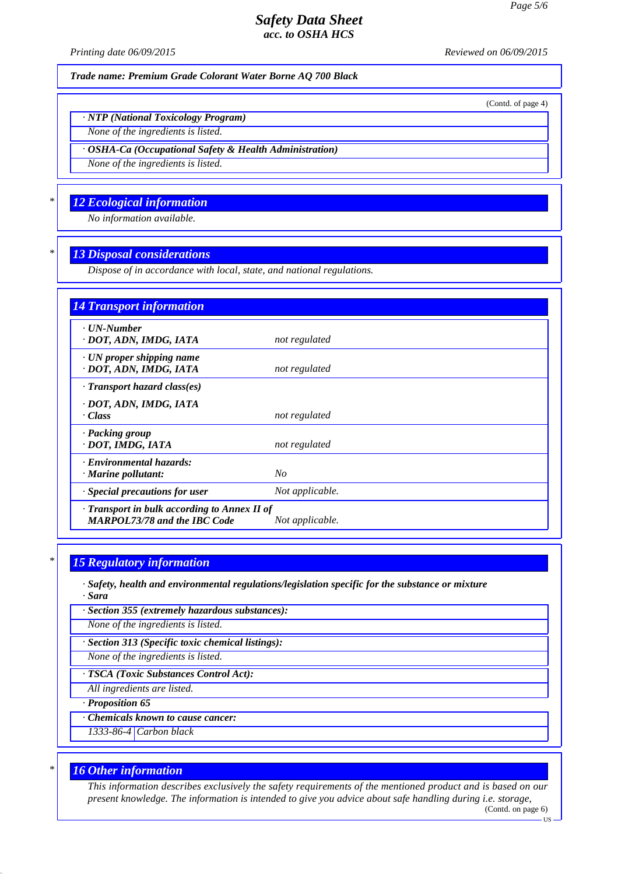*Printing date 06/09/2015 Reviewed on 06/09/2015*

(Contd. of page 4)

**HS** 

*Trade name: Premium Grade Colorant Water Borne AQ 700 Black*

*· NTP (National Toxicology Program)*

*None of the ingredients is listed.*

*· OSHA-Ca (Occupational Safety & Health Administration)*

*None of the ingredients is listed.*

### *\* 12 Ecological information*

*No information available.*

### *\* 13 Disposal considerations*

*Dispose of in accordance with local, state, and national regulations.*

| <b>14 Transport information</b>                                                     |                 |
|-------------------------------------------------------------------------------------|-----------------|
| $\cdot$ UN-Number<br>· DOT, ADN, IMDG, IATA                                         | not regulated   |
| $\cdot$ UN proper shipping name<br>· DOT, ADN, IMDG, IATA                           | not regulated   |
| · Transport hazard class(es)                                                        |                 |
| · DOT, ADN, IMDG, IATA<br>· Class                                                   | not regulated   |
| · Packing group<br>· DOT, IMDG, IATA                                                | not regulated   |
| · Environmental hazards:<br>$\cdot$ Marine pollutant:                               | $N_{O}$         |
| · Special precautions for user                                                      | Not applicable. |
| · Transport in bulk according to Annex II of<br><b>MARPOL73/78 and the IBC Code</b> | Not applicable. |

### *\* 15 Regulatory information*

*· Safety, health and environmental regulations/legislation specific for the substance or mixture · Sara*

*· Section 355 (extremely hazardous substances):*

*None of the ingredients is listed.*

*· Section 313 (Specific toxic chemical listings):*

*None of the ingredients is listed.*

*· TSCA (Toxic Substances Control Act):*

*All ingredients are listed.*

*· Proposition 65*

*· Chemicals known to cause cancer:*

*1333-86-4 Carbon black*

### *\* 16 Other information*

*This information describes exclusively the safety requirements of the mentioned product and is based on our present knowledge. The information is intended to give you advice about safe handling during i.e. storage,* (Contd. on page 6)